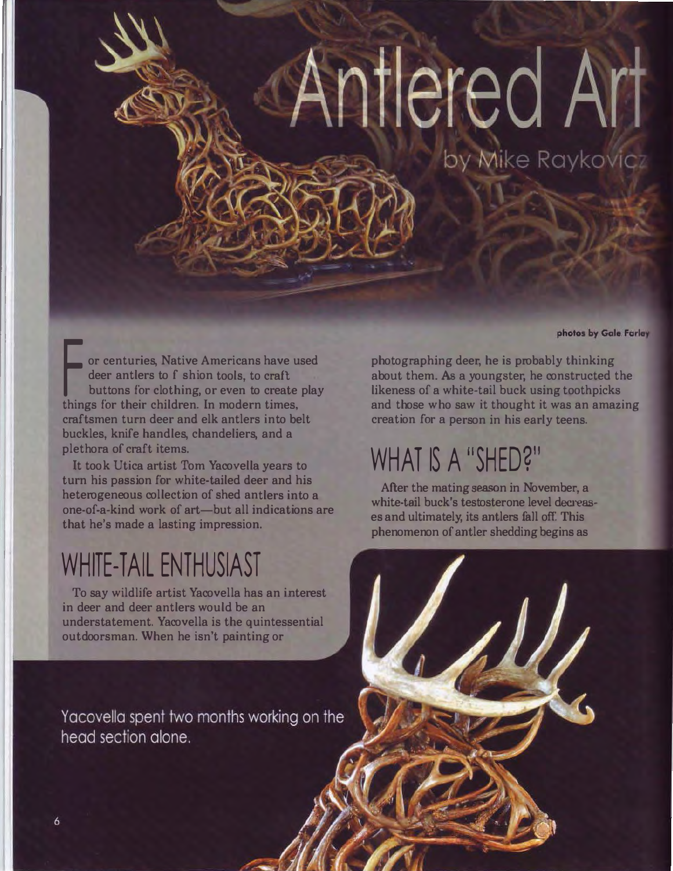# Antlered Art

by Mike Raykovicz

photos by Gale Farley

or centuries, Native Americans have used deer antlers to f shion tools, to craft buttons for clothing, or even to create play things for their children. In modern times, craftsmen turn deer and elk antlers into belt buckles, knife handles, chandeliers, and a plethora of craft items.

It took Utica artist Tom Yacovella years to turn his passion for white-tailed deer and his heterogeneous collection of shed antlers into a one-of-a-kind work of art-but all indications are that he's made a lasting impression.

#### WHITE-TAIL ENTHUSIAST

To say wildlife artist Yacovella has an interest in deer and deer antlers would be an understatement. Yacovella is the quintessential outdoorsman. When he isn't painting or

Yacovella spent two months working on the head section alone.

photographing deer, he is probably thinking about them. As a youngster, he constructed the likeness of a white-tail buck using toothpicks and those who saw it thought it was an amazing creation for a person in his early teens.

# WHAT IS A "SHED?"

After the mating season in November, a white-tail buck's testosterone level decreases and ultimately, its antlers fall off. This phenomenon of antler shedding begins as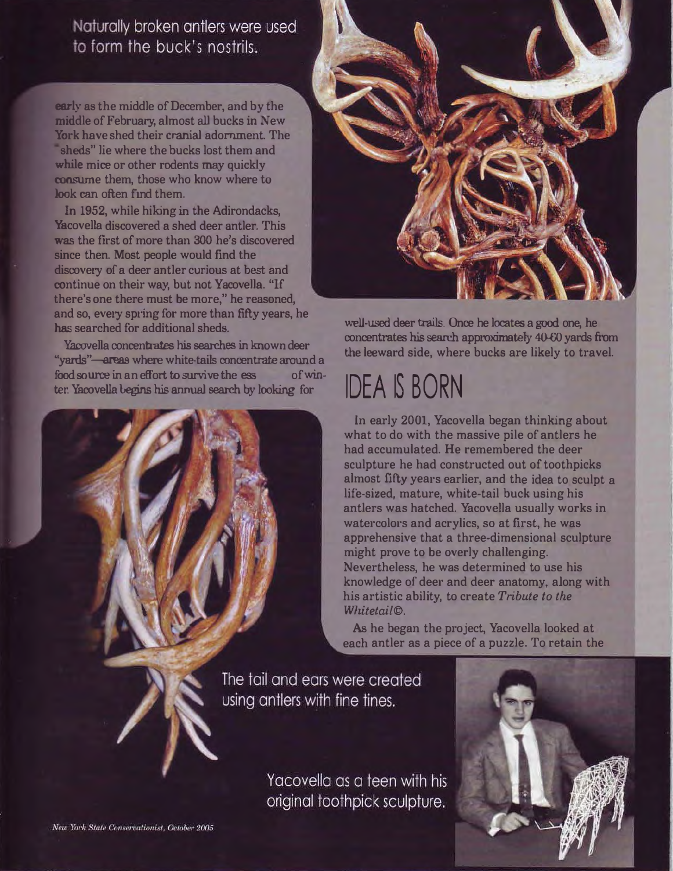Naturally broken antlers were used to form the buck's nostrils.

early as the middle of December, and by the middle of February, almost all bucks in New York have shed their cranial adornment. The sheds" lie where the bucks lost them and while mice or other rodents may quickly consume them, those who know where to look can often find them.

In 1952, while hiking in the Adirondacks, Yacovella discovered a shed deer antler. This was the first of more than 300 he's discovered since then. Most people would find the discovery of a deer antler curious at best and continue on their way, but not Yacovella. "If there's one there must be more," he reasoned, and so, every spring for more than fifty years, he has searched for additional sheds.

Yacovella concentrates his searches in known deer "vards"-areas where white-tails concentrate around a food source in an effort to survive the ess of winter. Yacovella begins his annual search by looking for



well-used deer trails. Once he locates a good one, he concentrates his search approximately 40-60 yards from the leeward side, where bucks are likely to travel.

#### **IDEA IS BORN**

In early 2001, Yacovella began thinking about what to do with the massive pile of antlers he had accumulated. He remembered the deer sculpture he had constructed out of toothpicks almost fifty years earlier, and the idea to sculpt a life-sized, mature, white-tail buck using his antlers was hatched. Yacovella usually works in watercolors and acrylics, so at first, he was apprehensive that a three-dimensional sculpture might prove to be overly challenging. Nevertheless, he was determined to use his knowledge of deer and deer anatomy, along with his artistic ability, to create Tribute to the Whitetail<sup>©</sup>.

As he began the project, Yacovella looked at each antler as a piece of a puzzle. To retain the

The tail and ears were created using antlers with fine tines.

> Yacovella as a teen with his original toothpick sculpture.